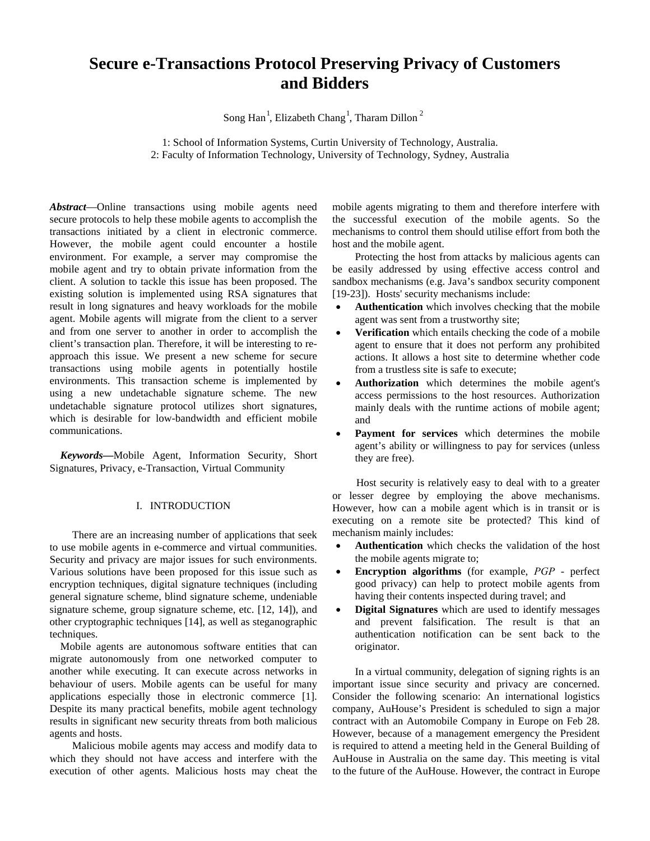# **Secure e-Transactions Protocol Preserving Privacy of Customers and Bidders**

Song Han<sup>1</sup>, Elizabeth Chang<sup>1</sup>, Tharam Dillon<sup>2</sup>

1: School of Information Systems, Curtin University of Technology, Australia. 2: Faculty of Information Technology, University of Technology, Sydney, Australia

*Abstract*—Online transactions using mobile agents need secure protocols to help these mobile agents to accomplish the transactions initiated by a client in electronic commerce. However, the mobile agent could encounter a hostile environment. For example, a server may compromise the mobile agent and try to obtain private information from the client. A solution to tackle this issue has been proposed. The existing solution is implemented using RSA signatures that result in long signatures and heavy workloads for the mobile agent. Mobile agents will migrate from the client to a server and from one server to another in order to accomplish the client's transaction plan. Therefore, it will be interesting to reapproach this issue. We present a new scheme for secure transactions using mobile agents in potentially hostile environments. This transaction scheme is implemented by using a new undetachable signature scheme. The new undetachable signature protocol utilizes short signatures, which is desirable for low-bandwidth and efficient mobile communications.

*Keywords***—**Mobile Agent, Information Security, Short Signatures, Privacy, e-Transaction, Virtual Community

## I. INTRODUCTION

There are an increasing number of applications that seek to use mobile agents in e-commerce and virtual communities. Security and privacy are major issues for such environments. Various solutions have been proposed for this issue such as encryption techniques, digital signature techniques (including general signature scheme, blind signature scheme, undeniable signature scheme, group signature scheme, etc. [12, 14]), and other cryptographic techniques [14], as well as steganographic techniques.

Mobile agents are autonomous software entities that can migrate autonomously from one networked computer to another while executing. It can execute across networks in behaviour of users. Mobile agents can be useful for many applications especially those in electronic commerce [1]. Despite its many practical benefits, mobile agent technology results in significant new security threats from both malicious agents and hosts.

Malicious mobile agents may access and modify data to which they should not have access and interfere with the execution of other agents. Malicious hosts may cheat the mobile agents migrating to them and therefore interfere with the successful execution of the mobile agents. So the mechanisms to control them should utilise effort from both the host and the mobile agent.

Protecting the host from attacks by malicious agents can be easily addressed by using effective access control and sandbox mechanisms (e.g. Java's sandbox security component [19-23]). Hosts' security mechanisms include:

- **Authentication** which involves checking that the mobile agent was sent from a trustworthy site;
- **Verification** which entails checking the code of a mobile agent to ensure that it does not perform any prohibited actions. It allows a host site to determine whether code from a trustless site is safe to execute;
- **Authorization** which determines the mobile agent's access permissions to the host resources. Authorization mainly deals with the runtime actions of mobile agent; and
- **Payment for services** which determines the mobile agent's ability or willingness to pay for services (unless they are free).

Host security is relatively easy to deal with to a greater or lesser degree by employing the above mechanisms. However, how can a mobile agent which is in transit or is executing on a remote site be protected? This kind of mechanism mainly includes:

- Authentication which checks the validation of the host the mobile agents migrate to;
- **Encryption algorithms** (for example, *PGP* perfect good privacy) can help to protect mobile agents from having their contents inspected during travel; and
- **Digital Signatures** which are used to identify messages and prevent falsification. The result is that an authentication notification can be sent back to the originator.

In a virtual community, delegation of signing rights is an important issue since security and privacy are concerned. Consider the following scenario: An international logistics company, AuHouse's President is scheduled to sign a major contract with an Automobile Company in Europe on Feb 28. However, because of a management emergency the President is required to attend a meeting held in the General Building of AuHouse in Australia on the same day. This meeting is vital to the future of the AuHouse. However, the contract in Europe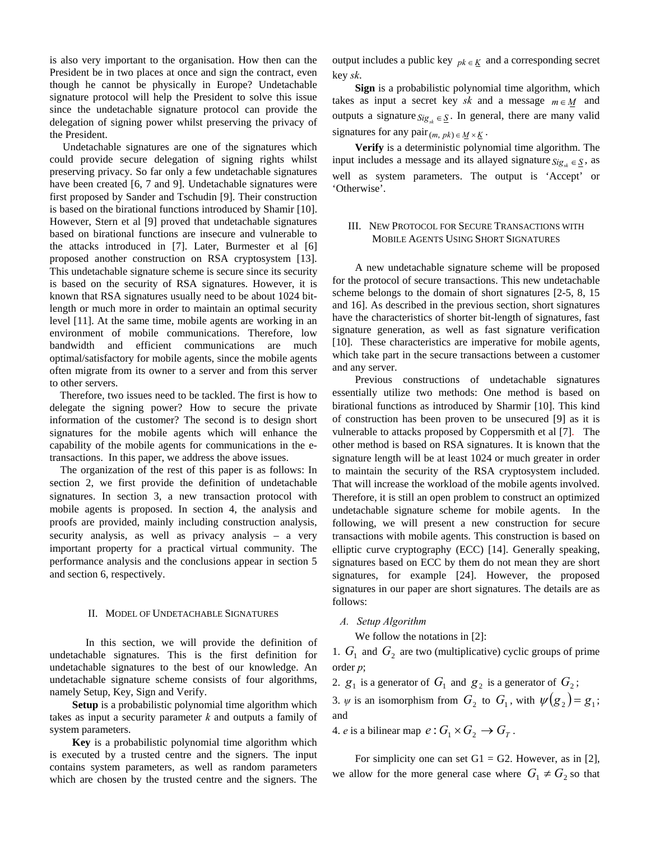is also very important to the organisation. How then can the President be in two places at once and sign the contract, even though he cannot be physically in Europe? Undetachable signature protocol will help the President to solve this issue since the undetachable signature protocol can provide the delegation of signing power whilst preserving the privacy of the President.

 Undetachable signatures are one of the signatures which could provide secure delegation of signing rights whilst preserving privacy. So far only a few undetachable signatures have been created [6, 7 and 9]. Undetachable signatures were first proposed by Sander and Tschudin [9]. Their construction is based on the birational functions introduced by Shamir [10]. However, Stern et al [9] proved that undetachable signatures based on birational functions are insecure and vulnerable to the attacks introduced in [7]. Later, Burmester et al [6] proposed another construction on RSA cryptosystem [13]. This undetachable signature scheme is secure since its security is based on the security of RSA signatures. However, it is known that RSA signatures usually need to be about 1024 bitlength or much more in order to maintain an optimal security level [11]. At the same time, mobile agents are working in an environment of mobile communications. Therefore, low bandwidth and efficient communications are much optimal/satisfactory for mobile agents, since the mobile agents often migrate from its owner to a server and from this server to other servers.

Therefore, two issues need to be tackled. The first is how to delegate the signing power? How to secure the private information of the customer? The second is to design short signatures for the mobile agents which will enhance the capability of the mobile agents for communications in the etransactions. In this paper, we address the above issues.

The organization of the rest of this paper is as follows: In section 2, we first provide the definition of undetachable signatures. In section 3, a new transaction protocol with mobile agents is proposed. In section 4, the analysis and proofs are provided, mainly including construction analysis, security analysis, as well as privacy analysis – a very important property for a practical virtual community. The performance analysis and the conclusions appear in section 5 and section 6, respectively.

### II. MODEL OF UNDETACHABLE SIGNATURES

 In this section, we will provide the definition of undetachable signatures. This is the first definition for undetachable signatures to the best of our knowledge. An undetachable signature scheme consists of four algorithms, namely Setup, Key, Sign and Verify.

**Setup** is a probabilistic polynomial time algorithm which takes as input a security parameter *k* and outputs a family of system parameters.

**Key** is a probabilistic polynomial time algorithm which is executed by a trusted centre and the signers. The input contains system parameters, as well as random parameters which are chosen by the trusted centre and the signers. The

output includes a public key  $p_k \in K$  and a corresponding secret key *sk*.

**Sign** is a probabilistic polynomial time algorithm, which takes as input a secret key *sk* and a message  $m \in M$  and outputs a signature  $Sig_{sk} \in \underline{S}$ . In general, there are many valid signatures for any  $\text{pair}_{(m, pk) \in M \times K}$ .

**Verify** is a deterministic polynomial time algorithm. The input includes a message and its allayed signature  $\delta_{ig_{st}} \in S$ , as well as system parameters. The output is 'Accept' or 'Otherwise'.

# III. NEW PROTOCOL FOR SECURE TRANSACTIONS WITH MOBILE AGENTS USING SHORT SIGNATURES

A new undetachable signature scheme will be proposed for the protocol of secure transactions. This new undetachable scheme belongs to the domain of short signatures [2-5, 8, 15 and 16]. As described in the previous section, short signatures have the characteristics of shorter bit-length of signatures, fast signature generation, as well as fast signature verification [10]. These characteristics are imperative for mobile agents, which take part in the secure transactions between a customer and any server.

Previous constructions of undetachable signatures essentially utilize two methods: One method is based on birational functions as introduced by Sharmir [10]. This kind of construction has been proven to be unsecured [9] as it is vulnerable to attacks proposed by Coppersmith et al [7]. The other method is based on RSA signatures. It is known that the signature length will be at least 1024 or much greater in order to maintain the security of the RSA cryptosystem included. That will increase the workload of the mobile agents involved. Therefore, it is still an open problem to construct an optimized undetachable signature scheme for mobile agents. In the following, we will present a new construction for secure transactions with mobile agents. This construction is based on elliptic curve cryptography (ECC) [14]. Generally speaking, signatures based on ECC by them do not mean they are short signatures, for example [24]. However, the proposed signatures in our paper are short signatures. The details are as follows:

## *A. Setup Algorithm*

We follow the notations in [2]:

1.  $G_1$  and  $G_2$  are two (multiplicative) cyclic groups of prime order *p*;

2.  $g_1$  is a generator of  $G_1$  and  $g_2$  is a generator of  $G_2$ ;

3.  $\psi$  is an isomorphism from  $G_2$  to  $G_1$ , with  $\psi(g_2) = g_1$ ; and

4. *e* is a bilinear map  $e: G_1 \times G_2 \to G_T$ .

For simplicity one can set  $G1 = G2$ . However, as in [2], we allow for the more general case where  $G_1 \neq G_2$  so that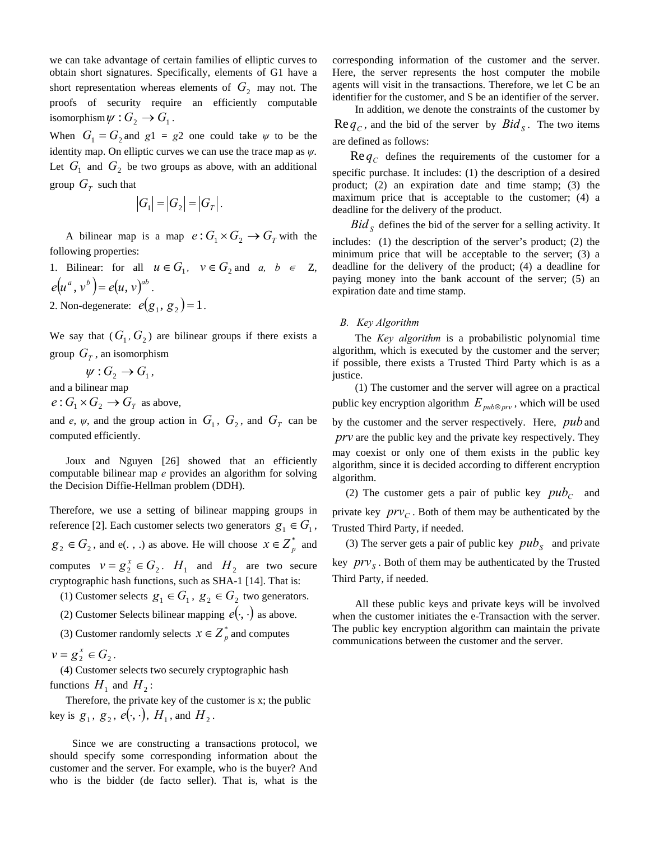we can take advantage of certain families of elliptic curves to obtain short signatures. Specifically, elements of G1 have a short representation whereas elements of  $G_2$  may not. The proofs of security require an efficiently computable isomorphism  $\psi: G_2 \to G_1$ .

When  $G_1 = G_2$  and  $g_1 = g_2$  one could take  $\psi$  to be the identity map. On elliptic curves we can use the trace map as *ψ*. Let  $G_1$  and  $G_2$  be two groups as above, with an additional group  $G_T$  such that

$$
|G_1| = |G_2| = |G_T|.
$$

A bilinear map is a map  $e: G_1 \times G_2 \to G_T$  with the following properties:

1. Bilinear: for all  $u \in G_1$ ,  $v \in G_2$  and  $a, b \in Z$ ,  $e(u^a, v^b) = e(u, v)^{ab}$ . 2. Non-degenerate:  $e(g_1, g_2) = 1$ .

We say that  $(G_1, G_2)$  are bilinear groups if there exists a group  $G_T$ , an isomorphism

 $\psi: G_2 \to G_1$ ,

and a bilinear map

 $e: G_1 \times G_2 \to G_T$  as above,

and *e*,  $\psi$ , and the group action in  $G_1$ ,  $G_2$ , and  $G_T$  can be computed efficiently.

 Joux and Nguyen [26] showed that an efficiently computable bilinear map *e* provides an algorithm for solving the Decision Diffie-Hellman problem (DDH).

Therefore, we use a setting of bilinear mapping groups in reference [2]. Each customer selects two generators  $g_1 \in G_1$ ,  $g_2 \in G_2$ , and e(., .) as above. He will choose  $x \in Z_p^*$  and computes  $v = g_2^x \in G_2$ .  $H_1$  and  $H_2$  are two secure cryptographic hash functions, such as SHA-1 [14]. That is:

(1) Customer selects  $g_1 \in G_1$ ,  $g_2 \in G_2$  two generators.

(2) Customer Selects bilinear mapping  $e(\cdot, \cdot)$  as above.

(3) Customer randomly selects  $x \in Z_p^*$  and computes

 $v = g_2^x \in G_2$ .

 (4) Customer selects two securely cryptographic hash functions  $H_1$  and  $H_2$ :

 Therefore, the private key of the customer is x; the public key is  $g_1, g_2, e(\cdot, \cdot)$ ,  $H_1$ , and  $H_2$ .

Since we are constructing a transactions protocol, we should specify some corresponding information about the customer and the server. For example, who is the buyer? And who is the bidder (de facto seller). That is, what is the corresponding information of the customer and the server. Here, the server represents the host computer the mobile agents will visit in the transactions. Therefore, we let C be an identifier for the customer, and S be an identifier of the server.

In addition, we denote the constraints of the customer by  $\text{Re } q_c$ , and the bid of the server by  $Bid_s$ . The two items are defined as follows:

 $\text{Re } q_C$  defines the requirements of the customer for a specific purchase. It includes: (1) the description of a desired product; (2) an expiration date and time stamp; (3) the maximum price that is acceptable to the customer; (4) a deadline for the delivery of the product.

 $Bid<sub>S</sub>$  defines the bid of the server for a selling activity. It

includes: (1) the description of the server's product; (2) the minimum price that will be acceptable to the server; (3) a deadline for the delivery of the product; (4) a deadline for paying money into the bank account of the server; (5) an expiration date and time stamp.

## *B. Key Algorithm*

The *Key algorithm* is a probabilistic polynomial time algorithm, which is executed by the customer and the server; if possible, there exists a Trusted Third Party which is as a justice.

(1) The customer and the server will agree on a practical public key encryption algorithm  $E_{pub\otimes py}$ , which will be used by the customer and the server respectively. Here, *pub* and *prv* are the public key and the private key respectively. They may coexist or only one of them exists in the public key algorithm, since it is decided according to different encryption algorithm.

(2) The customer gets a pair of public key  $pub<sub>C</sub>$  and private key  $prv_c$ . Both of them may be authenticated by the Trusted Third Party, if needed.

(3) The server gets a pair of public key  $pub<sub>S</sub>$  and private key  $prv<sub>S</sub>$ . Both of them may be authenticated by the Trusted Third Party, if needed.

All these public keys and private keys will be involved when the customer initiates the e-Transaction with the server. The public key encryption algorithm can maintain the private communications between the customer and the server.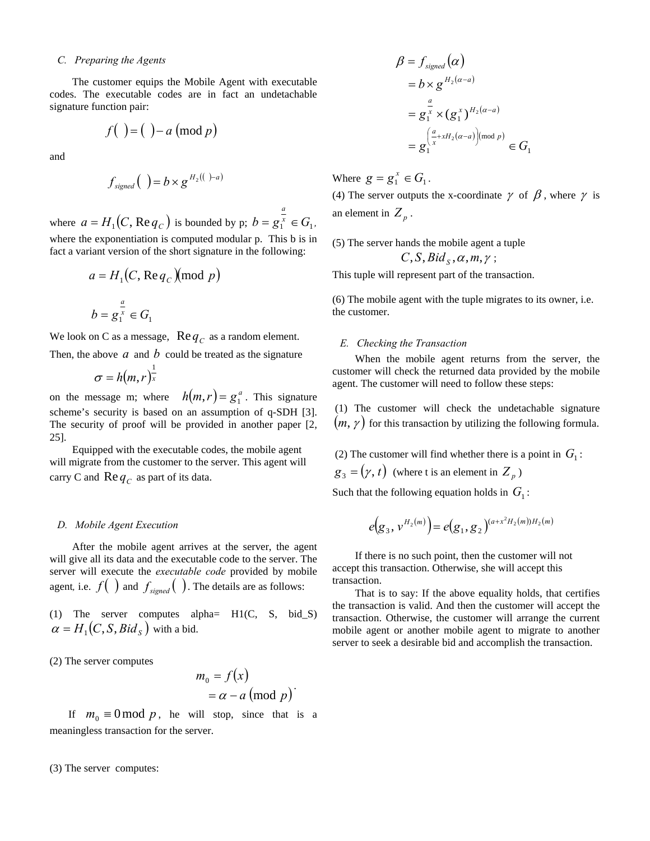#### *C. Preparing the Agents*

The customer equips the Mobile Agent with executable codes. The executable codes are in fact an undetachable signature function pair:

$$
f\left( \begin{array}{c} \\ \end{array} \right) = \left( \begin{array}{c} \\ \end{array} \right) - a \left( \text{mod } p \right)
$$

and

$$
f_{\text{signed}}( ) = b \times g^{H_2(( )-a) }
$$

where  $a = H_1(C, \text{Re } q_C)$  is bounded by p;  $b = g_1^x \in G_1$ *a*  $= g_1^x \in G_1$ where the exponentiation is computed modular p. This b is in fact a variant version of the short signature in the following:

$$
a = H_1(C, \text{Re } q_C)(\text{mod } p)
$$

$$
b = g_1^{\frac{a}{x}} \in G_1
$$

We look on C as a message,  $\text{Re} q_c$  as a random element.

Then, the above  $a$  and  $b$  could be treated as the signature

$$
\sigma = h(m,r)^{\frac{1}{x}}
$$

on the message m; where  $h(m, r) = g_1^a$ . This signature scheme's security is based on an assumption of q-SDH [3]. The security of proof will be provided in another paper [2, 25].

Equipped with the executable codes, the mobile agent will migrate from the customer to the server. This agent will carry C and  $\text{Re} q_c$  as part of its data.

#### *D. Mobile Agent Execution*

After the mobile agent arrives at the server, the agent will give all its data and the executable code to the server. The server will execute the *executable code* provided by mobile agent, i.e.  $f(\ )$  and  $f_{\text{signed}}(\ )$ . The details are as follows:

(1) The server computes alpha= H1(C, S, bid\_S)  $\alpha = H_1(C, S, Bid_S)$  with a bid.

(2) The server computes

$$
m_0 = f(x)
$$
  
=  $\alpha - a \pmod{p}$ 

If  $m_0 \equiv 0 \mod p$ , he will stop, since that is a meaningless transaction for the server.

(3) The server computes:

$$
\beta = f_{signed}(\alpha)
$$
  
=  $b \times g^{H_2(\alpha - a)}$   
=  $g_1^{\frac{\alpha}{x}} \times (g_1^x)^{H_2(\alpha - a)}$   
=  $g_1^{\left(\frac{\alpha}{x} + xH_2(\alpha - a)\right) \text{mod } p}} \in G_1$ 

Where  $g = g_1^x \in G_1$ .

(4) The server outputs the x-coordinate  $\gamma$  of  $\beta$ , where  $\gamma$  is an element in  $Z_p$ .

(5) The server hands the mobile agent a tuple  $C$ ,  $S$ ,  $Bid_s$ ,  $\alpha$ ,  $m, \gamma$ ;

This tuple will represent part of the transaction.

(6) The mobile agent with the tuple migrates to its owner, i.e. the customer.

### *E. Checking the Transaction*

When the mobile agent returns from the server, the customer will check the returned data provided by the mobile agent. The customer will need to follow these steps:

 (1) The customer will check the undetachable signature  $(m, \gamma)$  for this transaction by utilizing the following formula.

(2) The customer will find whether there is a point in  $G_1$ :

 $g_3 = (\gamma, t)$  (where t is an element in  $Z_p$ )

Such that the following equation holds in  $G_1$ :

$$
e(g_3, v^{H_2(m)}) = e(g_1, g_2)^{(a+x^2H_2(m))H_2(m)}
$$

If there is no such point, then the customer will not accept this transaction. Otherwise, she will accept this transaction.

That is to say: If the above equality holds, that certifies the transaction is valid. And then the customer will accept the transaction. Otherwise, the customer will arrange the current mobile agent or another mobile agent to migrate to another server to seek a desirable bid and accomplish the transaction.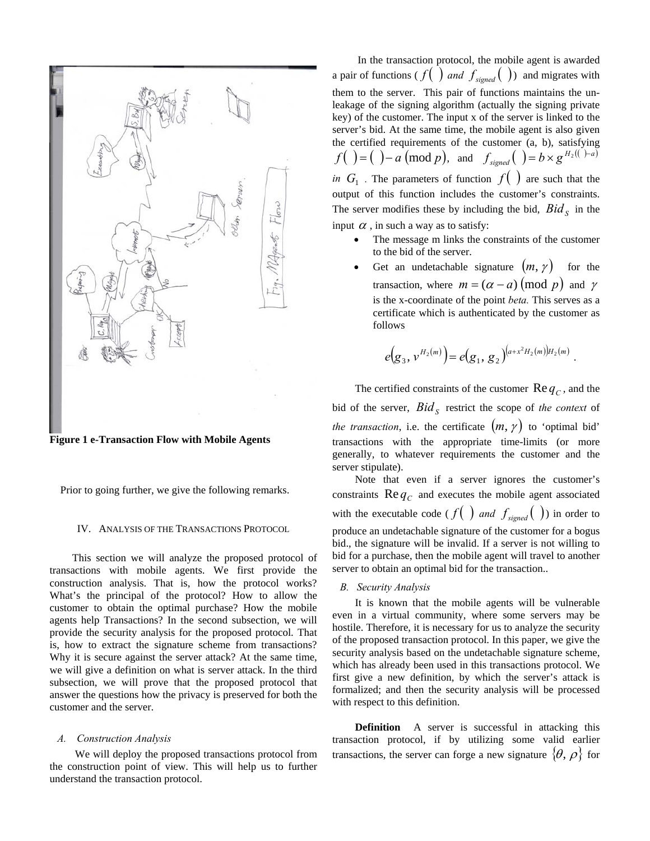

**Figure 1 e-Transaction Flow with Mobile Agents**

Prior to going further, we give the following remarks.

#### IV. ANALYSIS OF THE TRANSACTIONS PROTOCOL

This section we will analyze the proposed protocol of transactions with mobile agents. We first provide the construction analysis. That is, how the protocol works? What's the principal of the protocol? How to allow the customer to obtain the optimal purchase? How the mobile agents help Transactions? In the second subsection, we will provide the security analysis for the proposed protocol. That is, how to extract the signature scheme from transactions? Why it is secure against the server attack? At the same time, we will give a definition on what is server attack. In the third subsection, we will prove that the proposed protocol that answer the questions how the privacy is preserved for both the customer and the server.

#### *A. Construction Analysis*

 We will deploy the proposed transactions protocol from the construction point of view. This will help us to further understand the transaction protocol.

 In the transaction protocol, the mobile agent is awarded a pair of functions ( $f(\ )$  *and*  $f_{\text{signed}}(\ )$ ) and migrates with them to the server. This pair of functions maintains the unleakage of the signing algorithm (actually the signing private key) of the customer. The input x of the server is linked to the server's bid. At the same time, the mobile agent is also given the certified requirements of the customer (a, b), satisfying *f* ( ) = ( )− *a* (mod *p*), and  $f_{signed}$  ( ) = b × g<sup>H<sub>2</sub>(( )-a)</sup> *in*  $G_1$  . The parameters of function  $f( )$  are such that the output of this function includes the customer's constraints. The server modifies these by including the bid,  $Bid<sub>S</sub>$  in the input  $\alpha$ , in such a way as to satisfy:

- The message m links the constraints of the customer to the bid of the server.
- Get an undetachable signature  $(m, \gamma)$  for the transaction, where  $m = (\alpha - a) \pmod{p}$  and *γ* is the x-coordinate of the point *beta.* This serves as a certificate which is authenticated by the customer as follows

$$
e(g_3, v^{H_2(m)}) = e(g_1, g_2)^{(a+x^2H_2(m))H_2(m)}
$$
.

The certified constraints of the customer  $\text{Re} q_c$ , and the bid of the server,  $Bid<sub>S</sub>$  restrict the scope of *the context* of *the transaction*, i.e. the certificate  $(m, \gamma)$  to 'optimal bid' transactions with the appropriate time-limits (or more generally, to whatever requirements the customer and the server stipulate).

Note that even if a server ignores the customer's constraints  $\text{Re} q_c$  and executes the mobile agent associated with the executable code ( $f(\ )$  *and*  $f_{\text{signed}}(\ )$ ) in order to produce an undetachable signature of the customer for a bogus bid., the signature will be invalid. If a server is not willing to bid for a purchase, then the mobile agent will travel to another server to obtain an optimal bid for the transaction..

*B. Security Analysis* 

It is known that the mobile agents will be vulnerable even in a virtual community, where some servers may be hostile. Therefore, it is necessary for us to analyze the security of the proposed transaction protocol. In this paper, we give the security analysis based on the undetachable signature scheme, which has already been used in this transactions protocol. We first give a new definition, by which the server's attack is formalized; and then the security analysis will be processed with respect to this definition.

**Definition** A server is successful in attacking this transaction protocol, if by utilizing some valid earlier transactions, the server can forge a new signature  $\{\theta, \rho\}$  for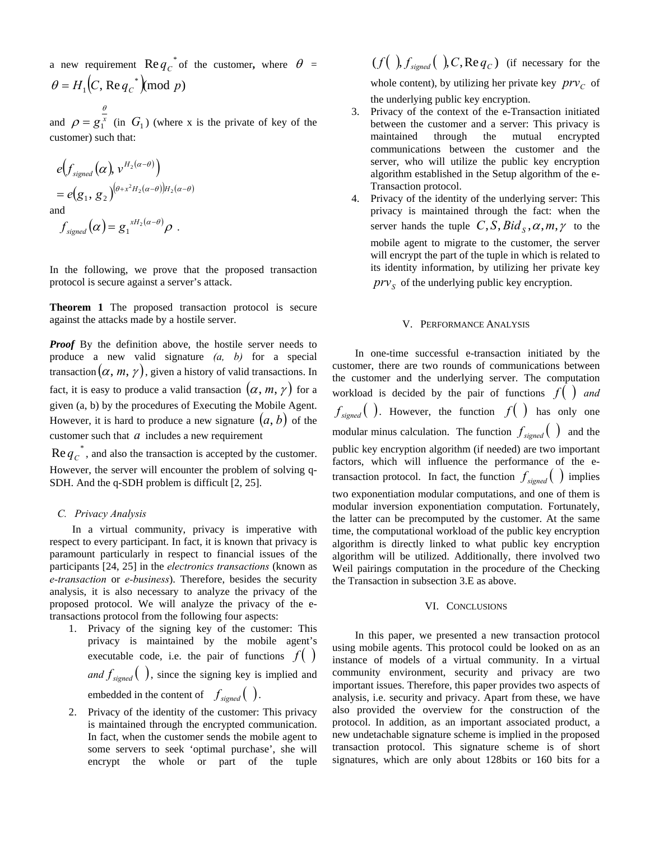a new requirement  $\text{Re} q_c^{\dagger}$  of the customer, where  $\theta =$  $\theta = H_1(C, \text{Re } q_C^*) \pmod{p}$ 

and  $\rho = g_1^x$  $\rho = g_1^x$  (in  $G_1$ ) (where x is the private of key of the customer) such that:

$$
e(f_{signed}(\alpha), v^{H_2(\alpha-\theta)})
$$
  
=  $e(g_1, g_2)^{(\theta + x^2 H_2(\alpha-\theta))H_2(\alpha-\theta)}$   
and

θ

 $f_{signed}(\alpha) = g_1^{xH_2(\alpha-\theta)}\rho$ .

In the following, we prove that the proposed transaction protocol is secure against a server's attack.

**Theorem 1** The proposed transaction protocol is secure against the attacks made by a hostile server.

*Proof* By the definition above, the hostile server needs to produce a new valid signature *(a, b)* for a special transaction  $(\alpha, m, \gamma)$ , given a history of valid transactions. In fact, it is easy to produce a valid transaction  $(\alpha, m, \gamma)$  for a given (a, b) by the procedures of Executing the Mobile Agent. However, it is hard to produce a new signature  $(a, b)$  of the customer such that *a* includes a new requirement

 $\text{Re} q_c^*$ , and also the transaction is accepted by the customer. However, the server will encounter the problem of solving q-SDH. And the q-SDH problem is difficult [2, 25].

## *C. Privacy Analysis*

In a virtual community, privacy is imperative with respect to every participant. In fact, it is known that privacy is paramount particularly in respect to financial issues of the participants [24, 25] in the *electronics transactions* (known as *e-transaction* or *e-business*). Therefore, besides the security analysis, it is also necessary to analyze the privacy of the proposed protocol. We will analyze the privacy of the etransactions protocol from the following four aspects:

- 1. Privacy of the signing key of the customer: This privacy is maintained by the mobile agent's executable code, i.e. the pair of functions  $f(\cdot)$ and  $f_{\text{signed}}($ ), since the signing key is implied and embedded in the content of  $f_{signed}$   $( )$ .
- 2. Privacy of the identity of the customer: This privacy is maintained through the encrypted communication. In fact, when the customer sends the mobile agent to some servers to seek 'optimal purchase', she will encrypt the whole or part of the tuple

 $(f ( ) , f_{signed} ( ) , C , Re q_C)$  (if necessary for the whole content), by utilizing her private key  $prv_c$  of

the underlying public key encryption.

- 3. Privacy of the context of the e-Transaction initiated between the customer and a server: This privacy is maintained through the mutual encrypted communications between the customer and the server, who will utilize the public key encryption algorithm established in the Setup algorithm of the e-Transaction protocol.
- 4. Privacy of the identity of the underlying server: This privacy is maintained through the fact: when the server hands the tuple  $C$ ,  $S$ ,  $Bid_s$ ,  $\alpha$ ,  $m, \gamma$  to the mobile agent to migrate to the customer, the server will encrypt the part of the tuple in which is related to its identity information, by utilizing her private key  $prv<sub>S</sub>$  of the underlying public key encryption.

#### V. PERFORMANCE ANALYSIS

In one-time successful e-transaction initiated by the customer, there are two rounds of communications between the customer and the underlying server. The computation workload is decided by the pair of functions  $f(\cdot)$  and  $f_{signed}$   $($   $)$ . However, the function  $f()$  has only one modular minus calculation. The function  $f_{\text{signed}}($   $)$  and the public key encryption algorithm (if needed) are two important factors, which will influence the performance of the etransaction protocol. In fact, the function  $f_{\text{sinned}}($  *f* implies two exponentiation modular computations, and one of them is modular inversion exponentiation computation. Fortunately, the latter can be precomputed by the customer. At the same time, the computational workload of the public key encryption algorithm is directly linked to what public key encryption algorithm will be utilized. Additionally, there involved two Weil pairings computation in the procedure of the Checking the Transaction in subsection 3.E as above.

## VI. CONCLUSIONS

In this paper, we presented a new transaction protocol using mobile agents. This protocol could be looked on as an instance of models of a virtual community. In a virtual community environment, security and privacy are two important issues. Therefore, this paper provides two aspects of analysis, i.e. security and privacy. Apart from these, we have also provided the overview for the construction of the protocol. In addition, as an important associated product, a new undetachable signature scheme is implied in the proposed transaction protocol. This signature scheme is of short signatures, which are only about 128bits or 160 bits for a